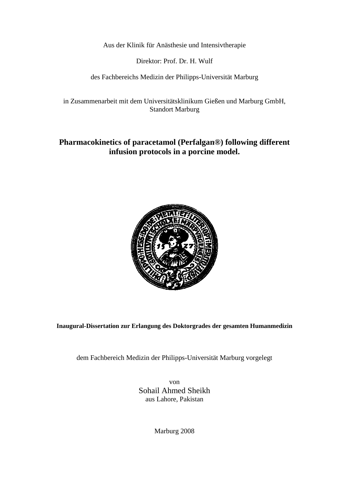Aus der Klinik für Anästhesie und Intensivtherapie

Direktor: Prof. Dr. H. Wulf

des Fachbereichs Medizin der Philipps-Universität Marburg

in Zusammenarbeit mit dem Universitätsklinikum Gießen und Marburg GmbH, Standort Marburg

### **Pharmacokinetics of paracetamol (Perfalgan®) following different infusion protocols in a porcine model.**



**Inaugural-Dissertation zur Erlangung des Doktorgrades der gesamten Humanmedizin** 

dem Fachbereich Medizin der Philipps-Universität Marburg vorgelegt

von Sohail Ahmed Sheikh aus Lahore, Pakistan

Marburg 2008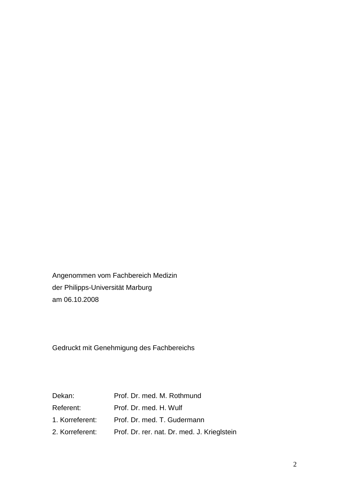Angenommen vom Fachbereich Medizin der Philipps-Universität Marburg am 06.10.2008

Gedruckt mit Genehmigung des Fachbereichs

| Dekan:    | Prof. Dr. med. M. Rothmund                                  |
|-----------|-------------------------------------------------------------|
| Referent: | Prof. Dr. med. H. Wulf                                      |
|           | 1. Korreferent: Prof. Dr. med. T. Gudermann                 |
|           | 2. Korreferent: Prof. Dr. rer. nat. Dr. med. J. Krieglstein |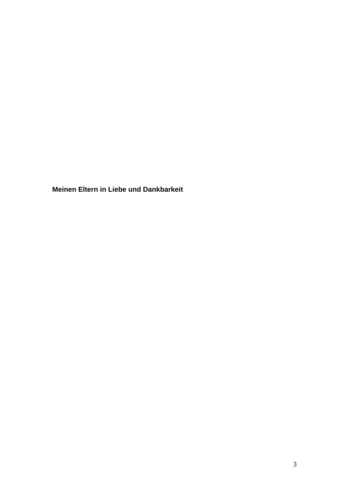**Meinen Eltern in Liebe und Dankbarkeit**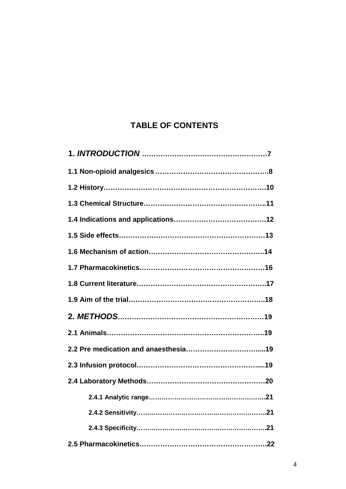# **TABLE OF CONTENTS**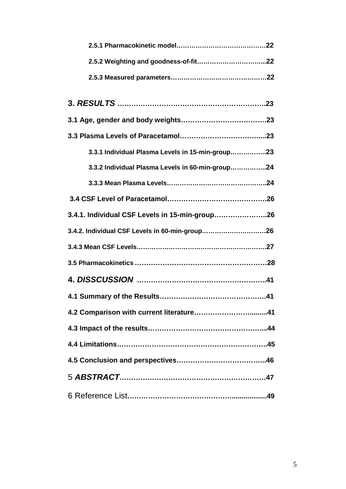| 3.3.1 Individual Plasma Levels in 15-min-group23 |
|--------------------------------------------------|
| 3.3.2 Individual Plasma Levels in 60-min-group24 |
|                                                  |
|                                                  |
| 3.4.1. Individual CSF Levels in 15-min-group26   |
|                                                  |
|                                                  |
|                                                  |
|                                                  |
|                                                  |
|                                                  |
|                                                  |
|                                                  |
|                                                  |
|                                                  |
|                                                  |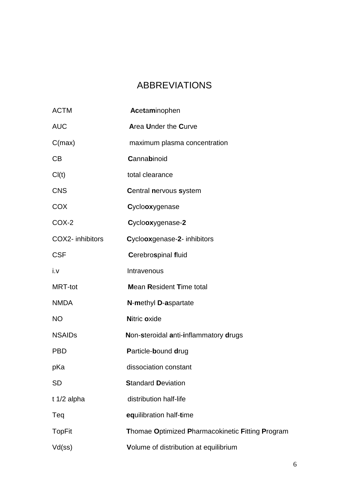# ABBREVIATIONS

| <b>ACTM</b>      | Acetaminophen                                    |
|------------------|--------------------------------------------------|
| <b>AUC</b>       | <b>Area Under the Curve</b>                      |
| C(max)           | maximum plasma concentration                     |
| CB               | Cannabinoid                                      |
| Cl(t)            | total clearance                                  |
| <b>CNS</b>       | <b>Central nervous system</b>                    |
| <b>COX</b>       | Cyclooxygenase                                   |
| COX-2            | Cyclooxygenase-2                                 |
| COX2- inhibitors | Cyclooxgenase-2- inhibitors                      |
| <b>CSF</b>       | <b>Cerebrospinal fluid</b>                       |
| i.v              | Intravenous                                      |
|                  |                                                  |
| <b>MRT-tot</b>   | <b>Mean Resident Time total</b>                  |
| <b>NMDA</b>      | N-methyl D-aspartate                             |
| <b>NO</b>        | Nitric oxide                                     |
| <b>NSAIDs</b>    | Non-steroidal anti-inflammatory drugs            |
| <b>PBD</b>       | Particle-bound drug                              |
| pKa              | dissociation constant                            |
| <b>SD</b>        | <b>Standard Deviation</b>                        |
| $t$ 1/2 alpha    | distribution half-life                           |
| Teq              | equilibration half-time                          |
| <b>TopFit</b>    | Thomae Optimized Pharmacokinetic Fitting Program |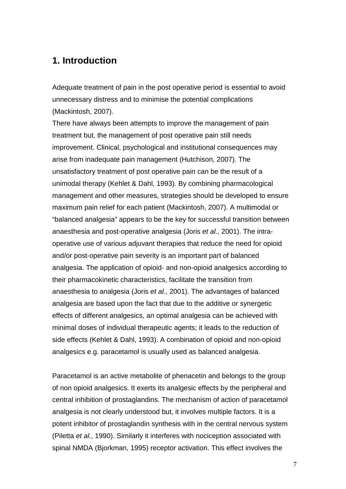## **1. Introduction**

Adequate treatment of pain in the post operative period is essential to avoid unnecessary distress and to minimise the potential complications (Mackintosh, 2007).

There have always been attempts to improve the management of pain treatment but, the management of post operative pain still needs improvement. Clinical, psychological and institutional consequences may arise from inadequate pain management (Hutchison, 2007). The unsatisfactory treatment of post operative pain can be the result of a unimodal therapy (Kehlet & Dahl, 1993). By combining pharmacological management and other measures, strategies should be developed to ensure maximum pain relief for each patient (Mackintosh, 2007). A multimodal or "balanced analgesia" appears to be the key for successful transition between anaesthesia and post-operative analgesia (Joris et al., 2001). The intraoperative use of various adjuvant therapies that reduce the need for opioid and/or post-operative pain severity is an important part of balanced analgesia. The application of opioid- and non-opioid analgesics according to their pharmacokinetic characteristics, facilitate the transition from anaesthesia to analgesia (Joris et al., 2001). The advantages of balanced analgesia are based upon the fact that due to the additive or synergetic effects of different analgesics, an optimal analgesia can be achieved with minimal doses of individual therapeutic agents; it leads to the reduction of side effects (Kehlet & Dahl, 1993). A combination of opioid and non-opioid analgesics e.g. paracetamol is usually used as balanced analgesia.

Paracetamol is an active metabolite of phenacetin and belongs to the group of non opioid analgesics. It exerts its analgesic effects by the peripheral and central inhibition of prostaglandins. The mechanism of action of paracetamol analgesia is not clearly understood but, it involves multiple factors. It is a potent inhibitor of prostaglandin synthesis with in the central nervous system (Piletta et al., 1990). Similarly it interferes with nociception associated with spinal NMDA (Bjorkman, 1995) receptor activation. This effect involves the

7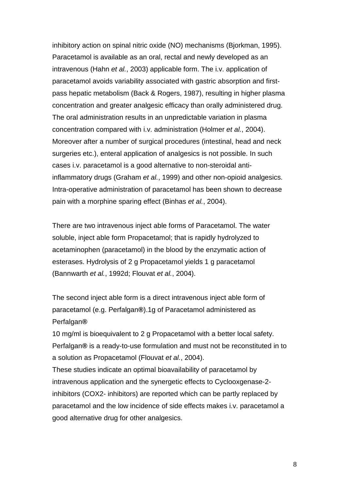inhibitory action on spinal nitric oxide (NO) mechanisms (Bjorkman, 1995). Paracetamol is available as an oral, rectal and newly developed as an intravenous (Hahn et al., 2003) applicable form. The i.v. application of paracetamol avoids variability associated with gastric absorption and firstpass hepatic metabolism (Back & Rogers, 1987), resulting in higher plasma concentration and greater analgesic efficacy than orally administered drug. The oral administration results in an unpredictable variation in plasma concentration compared with i.v. administration (Holmer et al., 2004). Moreover after a number of surgical procedures (intestinal, head and neck surgeries etc.), enteral application of analgesics is not possible. In such cases i.v. paracetamol is a good alternative to non-steroidal antiinflammatory drugs (Graham et al., 1999) and other non-opioid analgesics. Intra-operative administration of paracetamol has been shown to decrease pain with a morphine sparing effect (Binhas et al., 2004).

There are two intravenous inject able forms of Paracetamol. The water soluble, inject able form Propacetamol; that is rapidly hydrolyzed to acetaminophen (paracetamol) in the blood by the enzymatic action of esterases. Hydrolysis of 2 g Propacetamol yields 1 g paracetamol (Bannwarth et al., 1992d; Flouvat et al., 2004).

The second inject able form is a direct intravenous inject able form of paracetamol (e.g. Perfalgan**®**).1g of Paracetamol administered as Perfalgan**®**

10 mg/ml is bioequivalent to 2 g Propacetamol with a better local safety. Perfalgan**®** is a ready-to-use formulation and must not be reconstituted in to a solution as Propacetamol (Flouvat et al., 2004).

These studies indicate an optimal bioavailability of paracetamol by intravenous application and the synergetic effects to Cyclooxgenase-2 inhibitors (COX2- inhibitors) are reported which can be partly replaced by paracetamol and the low incidence of side effects makes i.v. paracetamol a good alternative drug for other analgesics.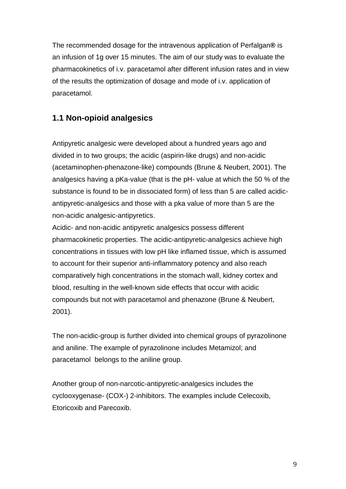The recommended dosage for the intravenous application of Perfalgan**®** is an infusion of 1g over 15 minutes. The aim of our study was to evaluate the pharmacokinetics of i.v. paracetamol after different infusion rates and in view of the results the optimization of dosage and mode of i.v. application of paracetamol.

## **1.1 Non-opioid analgesics**

Antipyretic analgesic were developed about a hundred years ago and divided in to two groups; the acidic (aspirin-like drugs) and non-acidic (acetaminophen-phenazone-like) compounds (Brune & Neubert, 2001). The analgesics having a pKa-value (that is the pH- value at which the 50 % of the substance is found to be in dissociated form) of less than 5 are called acidicantipyretic-analgesics and those with a pka value of more than 5 are the non-acidic analgesic-antipyretics.

Acidic- and non-acidic antipyretic analgesics possess different pharmacokinetic properties. The acidic-antipyretic-analgesics achieve high concentrations in tissues with low pH like inflamed tissue, which is assumed to account for their superior anti-inflammatory potency and also reach comparatively high concentrations in the stomach wall, kidney cortex and blood, resulting in the well-known side effects that occur with acidic compounds but not with paracetamol and phenazone (Brune & Neubert, 2001).

The non-acidic-group is further divided into chemical groups of pyrazolinone and aniline. The example of pyrazolinone includes Metamizol; and paracetamol belongs to the aniline group.

Another group of non-narcotic-antipyretic-analgesics includes the cyclooxygenase- (COX-) 2-inhibitors. The examples include Celecoxib, Etoricoxib and Parecoxib.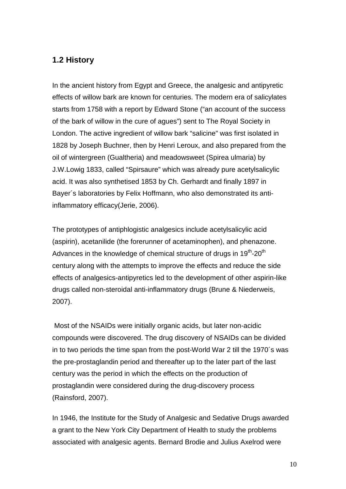## **1.2 History**

In the ancient history from Egypt and Greece, the analgesic and antipyretic effects of willow bark are known for centuries. The modern era of salicylates starts from 1758 with a report by Edward Stone ("an account of the success of the bark of willow in the cure of agues") sent to The Royal Society in London. The active ingredient of willow bark "salicine" was first isolated in 1828 by Joseph Buchner, then by Henri Leroux, and also prepared from the oil of wintergreen (Gualtheria) and meadowsweet (Spirea ulmaria) by J.W.Lowig 1833, called "Spirsaure" which was already pure acetylsalicylic acid. It was also synthetised 1853 by Ch. Gerhardt and finally 1897 in Bayer´s laboratories by Felix Hoffmann, who also demonstrated its antiinflammatory efficacy(Jerie, 2006).

The prototypes of antiphlogistic analgesics include acetylsalicylic acid (aspirin), acetanilide (the forerunner of acetaminophen), and phenazone. Advances in the knowledge of chemical structure of drugs in  $19<sup>th</sup>$ -20<sup>th</sup> century along with the attempts to improve the effects and reduce the side effects of analgesics-antipyretics led to the development of other aspirin-like drugs called non-steroidal anti-inflammatory drugs (Brune & Niederweis, 2007).

 Most of the NSAIDs were initially organic acids, but later non-acidic compounds were discovered. The drug discovery of NSAIDs can be divided in to two periods the time span from the post-World War 2 till the 1970´s was the pre-prostaglandin period and thereafter up to the later part of the last century was the period in which the effects on the production of prostaglandin were considered during the drug-discovery process (Rainsford, 2007).

In 1946, the Institute for the Study of Analgesic and Sedative Drugs awarded a grant to the New York City Department of Health to study the problems associated with analgesic agents. Bernard Brodie and Julius Axelrod were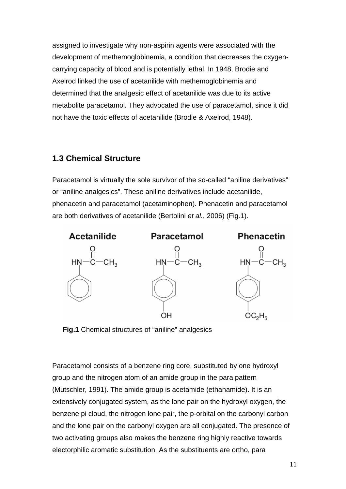assigned to investigate why non-aspirin agents were associated with the development of methemoglobinemia, a condition that decreases the oxygencarrying capacity of blood and is potentially lethal. In 1948, Brodie and Axelrod linked the use of acetanilide with methemoglobinemia and determined that the analgesic effect of acetanilide was due to its active metabolite paracetamol. They advocated the use of paracetamol, since it did not have the toxic effects of acetanilide (Brodie & Axelrod, 1948).

### **1.3 Chemical Structure**

Paracetamol is virtually the sole survivor of the so-called "aniline derivatives" or "aniline analgesics". These aniline derivatives include acetanilide, phenacetin and paracetamol (acetaminophen). Phenacetin and paracetamol are both derivatives of acetanilide (Bertolini et al., 2006) (Fig.1).



**Fig.1** Chemical structures of "aniline" analgesics

Paracetamol consists of a benzene ring core, substituted by one hydroxyl group and the nitrogen atom of an amide group in the para pattern (Mutschler, 1991). The amide group is acetamide (ethanamide). It is an extensively conjugated system, as the lone pair on the hydroxyl oxygen, the benzene pi cloud, the nitrogen lone pair, the p-orbital on the carbonyl carbon and the lone pair on the carbonyl oxygen are all conjugated. The presence of two activating groups also makes the benzene ring highly reactive towards electorphilic aromatic substitution. As the substituents are ortho, para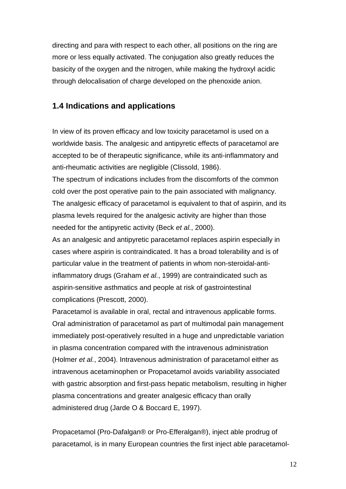directing and para with respect to each other, all positions on the ring are more or less equally activated. The conjugation also greatly reduces the basicity of the oxygen and the nitrogen, while making the hydroxyl acidic through delocalisation of charge developed on the phenoxide anion.

## **1.4 Indications and applications**

In view of its proven efficacy and low toxicity paracetamol is used on a worldwide basis. The analgesic and antipyretic effects of paracetamol are accepted to be of therapeutic significance, while its anti-inflammatory and anti-rheumatic activities are negligible (Clissold, 1986).

The spectrum of indications includes from the discomforts of the common cold over the post operative pain to the pain associated with malignancy. The analgesic efficacy of paracetamol is equivalent to that of aspirin, and its plasma levels required for the analgesic activity are higher than those needed for the antipyretic activity (Beck et al., 2000).

As an analgesic and antipyretic paracetamol replaces aspirin especially in cases where aspirin is contraindicated. It has a broad tolerability and is of particular value in the treatment of patients in whom non-steroidal-antiinflammatory drugs (Graham et al., 1999) are contraindicated such as aspirin-sensitive asthmatics and people at risk of gastrointestinal complications (Prescott, 2000).

Paracetamol is available in oral, rectal and intravenous applicable forms. Oral administration of paracetamol as part of multimodal pain management immediately post-operatively resulted in a huge and unpredictable variation in plasma concentration compared with the intravenous administration (Holmer et al., 2004). Intravenous administration of paracetamol either as intravenous acetaminophen or Propacetamol avoids variability associated with gastric absorption and first-pass hepatic metabolism, resulting in higher plasma concentrations and greater analgesic efficacy than orally administered drug (Jarde O & Boccard E, 1997).

Propacetamol (Pro-Dafalgan® or Pro-Efferalgan®), inject able prodrug of paracetamol, is in many European countries the first inject able paracetamol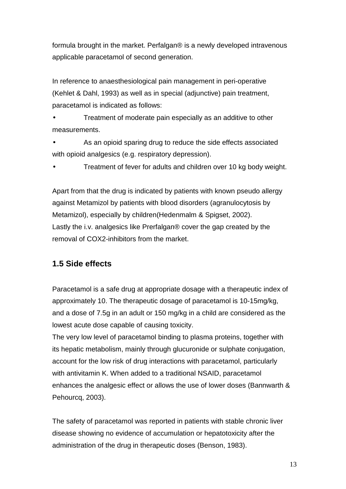formula brought in the market. Perfalgan® is a newly developed intravenous applicable paracetamol of second generation.

In reference to anaesthesiological pain management in peri-operative (Kehlet & Dahl, 1993) as well as in special (adjunctive) pain treatment, paracetamol is indicated as follows:

• Treatment of moderate pain especially as an additive to other measurements.

As an opioid sparing drug to reduce the side effects associated with opioid analgesics (e.g. respiratory depression).

• Treatment of fever for adults and children over 10 kg body weight.

Apart from that the drug is indicated by patients with known pseudo allergy against Metamizol by patients with blood disorders (agranulocytosis by Metamizol), especially by children(Hedenmalm & Spigset, 2002). Lastly the i.v. analgesics like Prerfalgan® cover the gap created by the removal of COX2-inhibitors from the market.

## **1.5 Side effects**

Paracetamol is a safe drug at appropriate dosage with a therapeutic index of approximately 10. The therapeutic dosage of paracetamol is 10-15mg/kg, and a dose of 7.5g in an adult or 150 mg/kg in a child are considered as the lowest acute dose capable of causing toxicity.

The very low level of paracetamol binding to plasma proteins, together with its hepatic metabolism, mainly through glucuronide or sulphate conjugation, account for the low risk of drug interactions with paracetamol, particularly with antivitamin K. When added to a traditional NSAID, paracetamol enhances the analgesic effect or allows the use of lower doses (Bannwarth & Pehourcq, 2003).

The safety of paracetamol was reported in patients with stable chronic liver disease showing no evidence of accumulation or hepatotoxicity after the administration of the drug in therapeutic doses (Benson, 1983).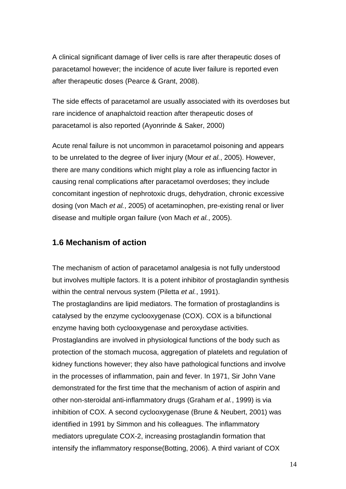A clinical significant damage of liver cells is rare after therapeutic doses of paracetamol however; the incidence of acute liver failure is reported even after therapeutic doses (Pearce & Grant, 2008).

The side effects of paracetamol are usually associated with its overdoses but rare incidence of anaphalctoid reaction after therapeutic doses of paracetamol is also reported (Ayonrinde & Saker, 2000)

Acute renal failure is not uncommon in paracetamol poisoning and appears to be unrelated to the degree of liver injury (Mour et al., 2005). However, there are many conditions which might play a role as influencing factor in causing renal complications after paracetamol overdoses; they include concomitant ingestion of nephrotoxic drugs, dehydration, chronic excessive dosing (von Mach et al., 2005) of acetaminophen, pre-existing renal or liver disease and multiple organ failure (von Mach et al., 2005).

### **1.6 Mechanism of action**

The mechanism of action of paracetamol analgesia is not fully understood but involves multiple factors. It is a potent inhibitor of prostaglandin synthesis within the central nervous system (Piletta et al., 1991).

The prostaglandins are lipid mediators. The formation of prostaglandins is catalysed by the enzyme cyclooxygenase (COX). COX is a bifunctional enzyme having both cyclooxygenase and peroxydase activities. Prostaglandins are involved in physiological functions of the body such as protection of the stomach mucosa, aggregation of platelets and regulation of kidney functions however; they also have pathological functions and involve in the processes of inflammation, pain and fever. In 1971, Sir John Vane demonstrated for the first time that the mechanism of action of aspirin and other non-steroidal anti-inflammatory drugs (Graham et al., 1999) is via inhibition of COX. A second cyclooxygenase (Brune & Neubert, 2001) was identified in 1991 by Simmon and his colleagues. The inflammatory mediators upregulate COX-2, increasing prostaglandin formation that intensify the inflammatory response(Botting, 2006). A third variant of COX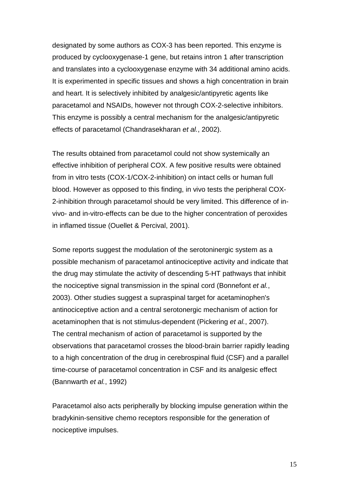designated by some authors as COX-3 has been reported. This enzyme is produced by cyclooxygenase-1 gene, but retains intron 1 after transcription and translates into a cyclooxygenase enzyme with 34 additional amino acids. It is experimented in specific tissues and shows a high concentration in brain and heart. It is selectively inhibited by analgesic/antipyretic agents like paracetamol and NSAIDs, however not through COX-2-selective inhibitors. This enzyme is possibly a central mechanism for the analgesic/antipyretic effects of paracetamol (Chandrasekharan et al., 2002).

The results obtained from paracetamol could not show systemically an effective inhibition of peripheral COX. A few positive results were obtained from in vitro tests (COX-1/COX-2-inhibition) on intact cells or human full blood. However as opposed to this finding, in vivo tests the peripheral COX-2-inhibition through paracetamol should be very limited. This difference of invivo- and in-vitro-effects can be due to the higher concentration of peroxides in inflamed tissue (Ouellet & Percival, 2001).

Some reports suggest the modulation of the serotoninergic system as a possible mechanism of paracetamol antinociceptive activity and indicate that the drug may stimulate the activity of descending 5-HT pathways that inhibit the nociceptive signal transmission in the spinal cord (Bonnefont et al., 2003). Other studies suggest a supraspinal target for acetaminophen's antinociceptive action and a central serotonergic mechanism of action for acetaminophen that is not stimulus-dependent (Pickering et al., 2007). The central mechanism of action of paracetamol is supported by the observations that paracetamol crosses the blood-brain barrier rapidly leading to a high concentration of the drug in cerebrospinal fluid (CSF) and a parallel time-course of paracetamol concentration in CSF and its analgesic effect (Bannwarth et al., 1992)

Paracetamol also acts peripherally by blocking impulse generation within the bradykinin-sensitive chemo receptors responsible for the generation of nociceptive impulses.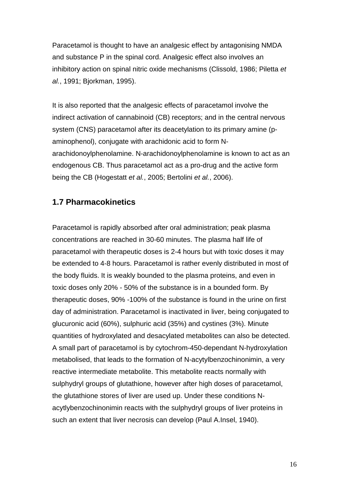Paracetamol is thought to have an analgesic effect by antagonising NMDA and substance P in the spinal cord. Analgesic effect also involves an inhibitory action on spinal nitric oxide mechanisms (Clissold, 1986; Piletta et al., 1991; Bjorkman, 1995).

It is also reported that the analgesic effects of paracetamol involve the indirect activation of cannabinoid (CB) receptors; and in the central nervous system (CNS) paracetamol after its deacetylation to its primary amine (paminophenol), conjugate with arachidonic acid to form Narachidonoylphenolamine. N-arachidonoylphenolamine is known to act as an endogenous CB. Thus paracetamol act as a pro-drug and the active form being the CB (Hogestatt et al., 2005; Bertolini et al., 2006).

## **1.7 Pharmacokinetics**

Paracetamol is rapidly absorbed after oral administration; peak plasma concentrations are reached in 30-60 minutes. The plasma half life of paracetamol with therapeutic doses is 2-4 hours but with toxic doses it may be extended to 4-8 hours. Paracetamol is rather evenly distributed in most of the body fluids. It is weakly bounded to the plasma proteins, and even in toxic doses only 20% - 50% of the substance is in a bounded form. By therapeutic doses, 90% -100% of the substance is found in the urine on first day of administration. Paracetamol is inactivated in liver, being conjugated to glucuronic acid (60%), sulphuric acid (35%) and cystines (3%). Minute quantities of hydroxylated and desacylated metabolites can also be detected. A small part of paracetamol is by cytochrom-450-dependant N-hydroxylation metabolised, that leads to the formation of N-acytylbenzochinonimin, a very reactive intermediate metabolite. This metabolite reacts normally with sulphydryl groups of glutathione, however after high doses of paracetamol, the glutathione stores of liver are used up. Under these conditions Nacytlybenzochinonimin reacts with the sulphydryl groups of liver proteins in such an extent that liver necrosis can develop (Paul A.Insel, 1940).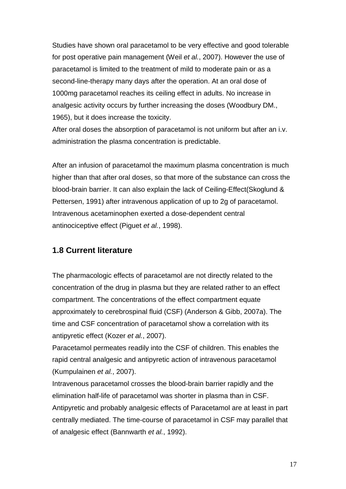Studies have shown oral paracetamol to be very effective and good tolerable for post operative pain management (Weil et al., 2007). However the use of paracetamol is limited to the treatment of mild to moderate pain or as a second-line-therapy many days after the operation. At an oral dose of 1000mg paracetamol reaches its ceiling effect in adults. No increase in analgesic activity occurs by further increasing the doses (Woodbury DM., 1965), but it does increase the toxicity.

After oral doses the absorption of paracetamol is not uniform but after an i.v. administration the plasma concentration is predictable.

After an infusion of paracetamol the maximum plasma concentration is much higher than that after oral doses, so that more of the substance can cross the blood-brain barrier. It can also explain the lack of Ceiling-Effect(Skoglund & Pettersen, 1991) after intravenous application of up to 2g of paracetamol. Intravenous acetaminophen exerted a dose-dependent central antinociceptive effect (Piguet et al., 1998).

### **1.8 Current literature**

The pharmacologic effects of paracetamol are not directly related to the concentration of the drug in plasma but they are related rather to an effect compartment. The concentrations of the effect compartment equate approximately to cerebrospinal fluid (CSF) (Anderson & Gibb, 2007a). The time and CSF concentration of paracetamol show a correlation with its antipyretic effect (Kozer et al., 2007).

Paracetamol permeates readily into the CSF of children. This enables the rapid central analgesic and antipyretic action of intravenous paracetamol (Kumpulainen et al., 2007).

Intravenous paracetamol crosses the blood-brain barrier rapidly and the elimination half-life of paracetamol was shorter in plasma than in CSF. Antipyretic and probably analgesic effects of Paracetamol are at least in part centrally mediated. The time-course of paracetamol in CSF may parallel that of analgesic effect (Bannwarth et al., 1992).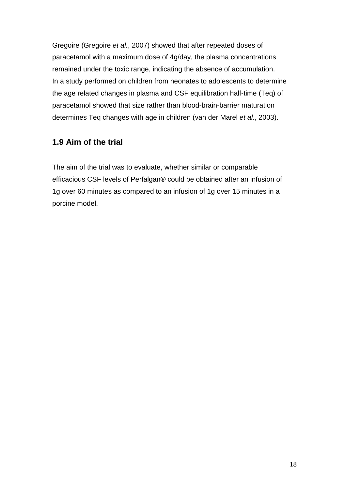Gregoire (Gregoire et al., 2007) showed that after repeated doses of paracetamol with a maximum dose of 4g/day, the plasma concentrations remained under the toxic range, indicating the absence of accumulation. In a study performed on children from neonates to adolescents to determine the age related changes in plasma and CSF equilibration half-time (Teq) of paracetamol showed that size rather than blood-brain-barrier maturation determines Teq changes with age in children (van der Marel et al., 2003).

## **1.9 Aim of the trial**

The aim of the trial was to evaluate, whether similar or comparable efficacious CSF levels of Perfalgan® could be obtained after an infusion of 1g over 60 minutes as compared to an infusion of 1g over 15 minutes in a porcine model.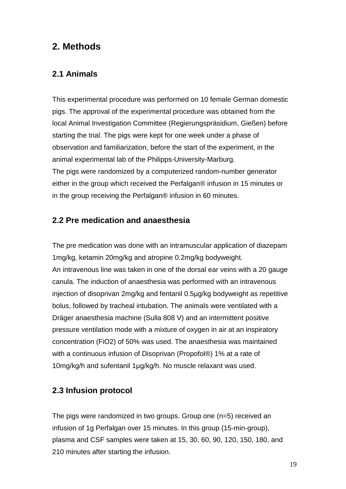# **2. Methods**

## **2.1 Animals**

This experimental procedure was performed on 10 female German domestic pigs. The approval of the experimental procedure was obtained from the local Animal Investigation Committee (Regierungspräsidium, Gießen) before starting the trial. The pigs were kept for one week under a phase of observation and familiarization, before the start of the experiment, in the animal experimental lab of the Philipps-University-Marburg. The pigs were randomized by a computerized random-number generator either in the group which received the Perfalgan® infusion in 15 minutes or in the group receiving the Perfalgan® infusion in 60 minutes.

## **2.2 Pre medication and anaesthesia**

The pre medication was done with an intramuscular application of diazepam 1mg/kg, ketamin 20mg/kg and atropine 0.2mg/kg bodyweight. An intravenous line was taken in one of the dorsal ear veins with a 20 gauge canula. The induction of anaesthesia was performed with an intravenous injection of disoprivan 2mg/kg and fentanil 0.5µg/kg bodyweight as repetitive bolus, followed by tracheal intubation. The animals were ventilated with a Dräger anaesthesia machine (Sulla 808 V) and an intermittent positive pressure ventilation mode with a mixture of oxygen in air at an inspiratory concentration (FiO2) of 50% was used. The anaesthesia was maintained with a continuous infusion of Disoprivan (Propofol®) 1% at a rate of 10mg/kg/h and sufentanil 1µg/kg/h. No muscle relaxant was used.

## **2.3 Infusion protocol**

The pigs were randomized in two groups. Group one (n=5) received an infusion of 1g Perfalgan over 15 minutes. In this group (15-min-group), plasma and CSF samples were taken at 15, 30, 60, 90, 120, 150, 180, and 210 minutes after starting the infusion.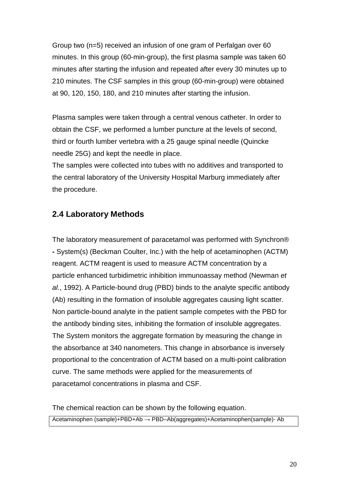Group two (n=5) received an infusion of one gram of Perfalgan over 60 minutes. In this group (60-min-group), the first plasma sample was taken 60 minutes after starting the infusion and repeated after every 30 minutes up to 210 minutes. The CSF samples in this group (60-min-group) were obtained at 90, 120, 150, 180, and 210 minutes after starting the infusion.

Plasma samples were taken through a central venous catheter. In order to obtain the CSF, we performed a lumber puncture at the levels of second, third or fourth lumber vertebra with a 25 gauge spinal needle (Quincke needle 25G) and kept the needle in place.

The samples were collected into tubes with no additives and transported to the central laboratory of the University Hospital Marburg immediately after the procedure.

## **2.4 Laboratory Methods**

The laboratory measurement of paracetamol was performed with Synchron® **-** System(s) (Beckman Coulter, Inc.) with the help of acetaminophen (ACTM) reagent. ACTM reagent is used to measure ACTM concentration by a particle enhanced turbidimetric inhibition immunoassay method (Newman et al., 1992). A Particle-bound drug (PBD) binds to the analyte specific antibody (Ab) resulting in the formation of insoluble aggregates causing light scatter. Non particle-bound analyte in the patient sample competes with the PBD for the antibody binding sites, inhibiting the formation of insoluble aggregates. The System monitors the aggregate formation by measuring the change in the absorbance at 340 nanometers. This change in absorbance is inversely proportional to the concentration of ACTM based on a multi-point calibration curve. The same methods were applied for the measurements of paracetamol concentrations in plasma and CSF.

The chemical reaction can be shown by the following equation.

Acetaminophen (sample)+PBD+Ab → PBD–Ab(aggregates)+Acetaminophen(sample)- Ab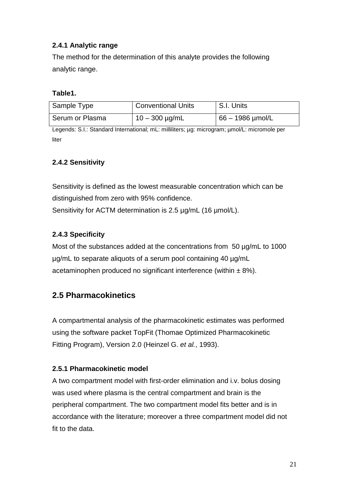## **2.4.1 Analytic range**

The method for the determination of this analyte provides the following analytic range.

#### **Table1.**

| Sample Type     | <b>Conventional Units</b> | S.I. Units         |
|-----------------|---------------------------|--------------------|
| Serum or Plasma | $10 - 300 \mu g/mL$       | $66 - 1986$ µmol/L |

Legends: S.I.: Standard International; mL: milliliters; µg: microgram; µmol/L: micromole per liter

#### **2.4.2 Sensitivity**

Sensitivity is defined as the lowest measurable concentration which can be distinguished from zero with 95% confidence.

Sensitivity for ACTM determination is 2.5 µg/mL (16 µmol/L).

#### **2.4.3 Specificity**

Most of the substances added at the concentrations from 50 µg/mL to 1000 µg/mL to separate aliquots of a serum pool containing 40 µg/mL acetaminophen produced no significant interference (within  $\pm 8\%$ ).

## **2.5 Pharmacokinetics**

A compartmental analysis of the pharmacokinetic estimates was performed using the software packet TopFit (Thomae Optimized Pharmacokinetic Fitting Program), Version 2.0 (Heinzel G. et al., 1993).

#### **2.5.1 Pharmacokinetic model**

A two compartment model with first-order elimination and i.v. bolus dosing was used where plasma is the central compartment and brain is the peripheral compartment. The two compartment model fits better and is in accordance with the literature; moreover a three compartment model did not fit to the data.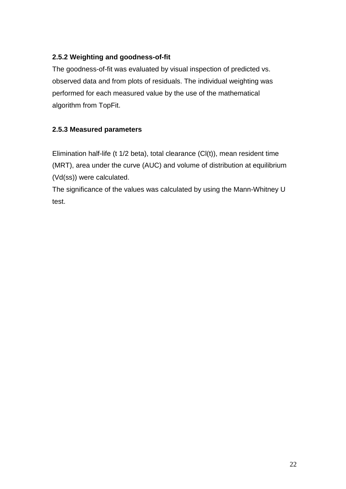## **2.5.2 Weighting and goodness-of-fit**

The goodness-of-fit was evaluated by visual inspection of predicted vs. observed data and from plots of residuals. The individual weighting was performed for each measured value by the use of the mathematical algorithm from TopFit.

### **2.5.3 Measured parameters**

Elimination half-life (t 1/2 beta), total clearance (Cl(t)), mean resident time (MRT), area under the curve (AUC) and volume of distribution at equilibrium (Vd(ss)) were calculated.

The significance of the values was calculated by using the Mann-Whitney U test.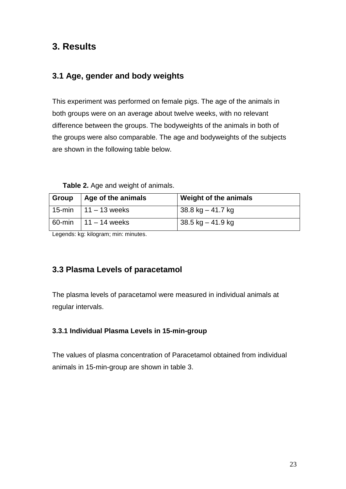# **3. Results**

## **3.1 Age, gender and body weights**

This experiment was performed on female pigs. The age of the animals in both groups were on an average about twelve weeks, with no relevant difference between the groups. The bodyweights of the animals in both of the groups were also comparable. The age and bodyweights of the subjects are shown in the following table below.

#### **Table 2.** Age and weight of animals.

| Group | Age of the animals     | <b>Weight of the animals</b> |
|-------|------------------------|------------------------------|
|       | 15-min   11 – 13 weeks | $38.8$ kg $-41.7$ kg         |
|       | 60-min   11 – 14 weeks | $38.5$ kg $-41.9$ kg         |

Legends: kg: kilogram; min: minutes.

## **3.3 Plasma Levels of paracetamol**

The plasma levels of paracetamol were measured in individual animals at regular intervals.

#### **3.3.1 Individual Plasma Levels in 15-min-group**

The values of plasma concentration of Paracetamol obtained from individual animals in 15-min-group are shown in table 3.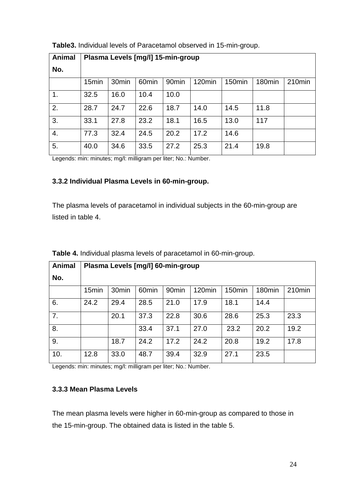| <b>Animal</b> | Plasma Levels [mg/l] 15-min-group |                   |                   |                   |        |        |        |        |
|---------------|-----------------------------------|-------------------|-------------------|-------------------|--------|--------|--------|--------|
| No.           |                                   |                   |                   |                   |        |        |        |        |
|               | 15 <sub>min</sub>                 | 30 <sub>min</sub> | 60 <sub>min</sub> | 90 <sub>min</sub> | 120min | 150min | 180min | 210min |
| 1.            | 32.5                              | 16.0              | 10.4              | 10.0              |        |        |        |        |
| 2.            | 28.7                              | 24.7              | 22.6              | 18.7              | 14.0   | 14.5   | 11.8   |        |
| 3.            | 33.1                              | 27.8              | 23.2              | 18.1              | 16.5   | 13.0   | 117    |        |
| 4.            | 77.3                              | 32.4              | 24.5              | 20.2              | 17.2   | 14.6   |        |        |
| 5.            | 40.0                              | 34.6              | 33.5              | 27.2              | 25.3   | 21.4   | 19.8   |        |

**Table3.** Individual levels of Paracetamol observed in 15-min-group.

Legends: min: minutes; mg/l: milligram per liter; No.: Number.

#### **3.3.2 Individual Plasma Levels in 60-min-group.**

The plasma levels of paracetamol in individual subjects in the 60-min-group are listed in table 4.

| <b>Animal</b> | Plasma Levels [mg/l] 60-min-group |                   |                   |                   |                    |                    |        |           |
|---------------|-----------------------------------|-------------------|-------------------|-------------------|--------------------|--------------------|--------|-----------|
| No.           |                                   |                   |                   |                   |                    |                    |        |           |
|               | 15 <sub>min</sub>                 | 30 <sub>min</sub> | 60 <sub>min</sub> | 90 <sub>min</sub> | 120 <sub>min</sub> | 150 <sub>min</sub> | 180min | $210$ min |
| 6.            | 24.2                              | 29.4              | 28.5              | 21.0              | 17.9               | 18.1               | 14.4   |           |
| 7.            |                                   | 20.1              | 37.3              | 22.8              | 30.6               | 28.6               | 25.3   | 23.3      |
| 8.            |                                   |                   | 33.4              | 37.1              | 27.0               | 23.2               | 20.2   | 19.2      |
| 9.            |                                   | 18.7              | 24.2              | 17.2              | 24.2               | 20.8               | 19.2   | 17.8      |
| 10.           | 12.8                              | 33.0              | 48.7              | 39.4              | 32.9               | 27.1               | 23.5   |           |

**Table 4.** Individual plasma levels of paracetamol in 60-min-group.

Legends: min: minutes; mg/l: milligram per liter; No.: Number.

#### **3.3.3 Mean Plasma Levels**

The mean plasma levels were higher in 60-min-group as compared to those in the 15-min-group. The obtained data is listed in the table 5.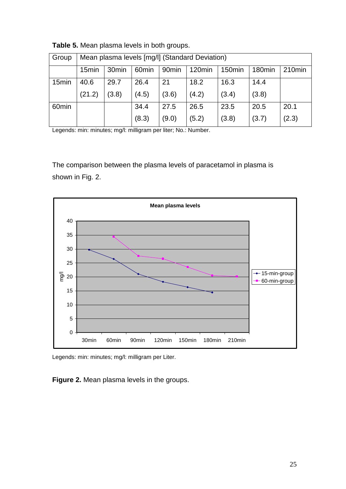| Group             | Mean plasma levels [mg/l] (Standard Deviation) |                                                                                                                                                     |       |       |       |       |       |       |  |  |  |
|-------------------|------------------------------------------------|-----------------------------------------------------------------------------------------------------------------------------------------------------|-------|-------|-------|-------|-------|-------|--|--|--|
|                   | 15 <sub>min</sub>                              | 120 <sub>min</sub><br>30 <sub>min</sub><br>90 <sub>min</sub><br>60 <sub>min</sub><br>150 <sub>min</sub><br>210 <sub>min</sub><br>180 <sub>min</sub> |       |       |       |       |       |       |  |  |  |
| 15 <sub>min</sub> | 40.6                                           | 29.7                                                                                                                                                | 26.4  | 21    | 18.2  | 16.3  | 14.4  |       |  |  |  |
|                   | (21.2)                                         | (3.8)                                                                                                                                               | (4.5) | (3.6) | (4.2) | (3.4) | (3.8) |       |  |  |  |
| 60 <sub>min</sub> |                                                |                                                                                                                                                     | 34.4  | 27.5  | 26.5  | 23.5  | 20.5  | 20.1  |  |  |  |
|                   |                                                |                                                                                                                                                     | (8.3) | (9.0) | (5.2) | (3.8) | (3.7) | (2.3) |  |  |  |

**Table 5.** Mean plasma levels in both groups.

Legends: min: minutes; mg/l: milligram per liter; No.: Number.

The comparison between the plasma levels of paracetamol in plasma is shown in Fig. 2.



Legends: min: minutes; mg/l: milligram per Liter.

**Figure 2.** Mean plasma levels in the groups.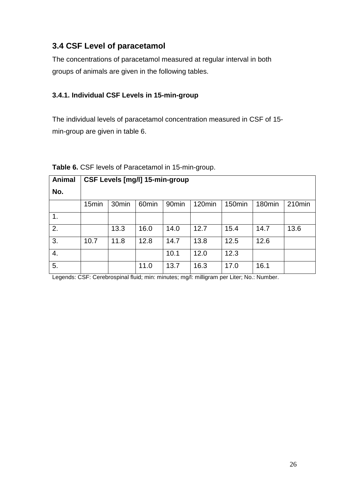## **3.4 CSF Level of paracetamol**

The concentrations of paracetamol measured at regular interval in both groups of animals are given in the following tables.

## **3.4.1. Individual CSF Levels in 15-min-group**

The individual levels of paracetamol concentration measured in CSF of 15 min-group are given in table 6.

| <b>Animal</b> | <b>CSF Levels [mg/l] 15-min-group</b> |                   |                   |                   |        |        |                    |        |  |
|---------------|---------------------------------------|-------------------|-------------------|-------------------|--------|--------|--------------------|--------|--|
| No.           |                                       |                   |                   |                   |        |        |                    |        |  |
|               | 15 <sub>min</sub>                     | 30 <sub>min</sub> | 60 <sub>min</sub> | 90 <sub>min</sub> | 120min | 150min | 180 <sub>min</sub> | 210min |  |
| 1.            |                                       |                   |                   |                   |        |        |                    |        |  |
| 2.            |                                       | 13.3              | 16.0              | 14.0              | 12.7   | 15.4   | 14.7               | 13.6   |  |
| 3.            | 10.7                                  | 11.8              | 12.8              | 14.7              | 13.8   | 12.5   | 12.6               |        |  |
| 4.            |                                       |                   |                   | 10.1              | 12.0   | 12.3   |                    |        |  |
| 5.            |                                       |                   | 11.0              | 13.7              | 16.3   | 17.0   | 16.1               |        |  |

|  |  |  |  | Table 6. CSF levels of Paracetamol in 15-min-group. |
|--|--|--|--|-----------------------------------------------------|
|--|--|--|--|-----------------------------------------------------|

Legends: CSF: Cerebrospinal fluid; min: minutes; mg/l: milligram per Liter; No.: Number.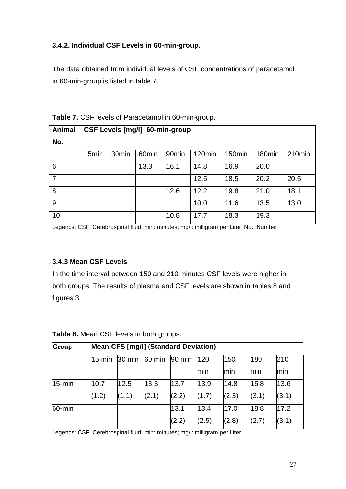## **3.4.2. Individual CSF Levels in 60-min-group.**

The data obtained from individual levels of CSF concentrations of paracetamol in 60-min-group is listed in table 7.

| Animal | <b>CSF Levels [mg/l] 60-min-group</b> |                   |                   |                   |        |        |        |        |  |  |
|--------|---------------------------------------|-------------------|-------------------|-------------------|--------|--------|--------|--------|--|--|
| No.    |                                       |                   |                   |                   |        |        |        |        |  |  |
|        | 15 <sub>min</sub>                     | 30 <sub>min</sub> | 60 <sub>min</sub> | 90 <sub>min</sub> | 120min | 150min | 180min | 210min |  |  |
| 6.     |                                       |                   | 13.3              | 16.1              | 14.8   | 16.9   | 20.0   |        |  |  |
| 7.     |                                       |                   |                   |                   | 12.5   | 18.5   | 20.2   | 20.5   |  |  |
| 8.     |                                       |                   |                   | 12.6              | 12.2   | 19.8   | 21.0   | 18.1   |  |  |
| 9.     |                                       |                   |                   |                   | 10.0   | 11.6   | 13.5   | 13.0   |  |  |
| 10.    |                                       |                   |                   | 10.8              | 17.7   | 18.3   | 19.3   |        |  |  |

**Table 7.** CSF levels of Paracetamol in 60-min-group.

Legends: CSF: Cerebrospinal fluid; min: minutes; mg/l: milligram per Liter; No.: Number.

### **3.4.3 Mean CSF Levels**

In the time interval between 150 and 210 minutes CSF levels were higher in both groups. The results of plasma and CSF levels are shown in tables 8 and figures 3.

| Group     | <b>Mean CFS [mg/l] (Standard Deviation)</b> |        |        |        |       |       |       |       |
|-----------|---------------------------------------------|--------|--------|--------|-------|-------|-------|-------|
|           | 15 min                                      | 30 min | 60 min | 90 min | 120   | 150   | 180   | 210   |
|           |                                             |        |        |        | min   | min   | min   | min   |
| $15$ -min | 10.7                                        | 12.5   | 13.3   | 13.7   | 13.9  | 14.8  | 15.8  | 13.6  |
|           | (1.2)                                       | (1.1)  | (2.1)  | (2.2)  | (1.7) | (2.3) | (3.1) | (3.1) |
| 60-min    |                                             |        |        | 13.1   | 13.4  | 17.0  | 18.8  | 17.2  |
|           |                                             |        |        | (2.2)  | (2.5) | (2.8) | (2.7) | (3.1) |

**Table 8.** Mean CSF levels in both groups.

Legends: CSF: Cerebrospinal fluid; min: minutes; mg/l: milligram per Liter.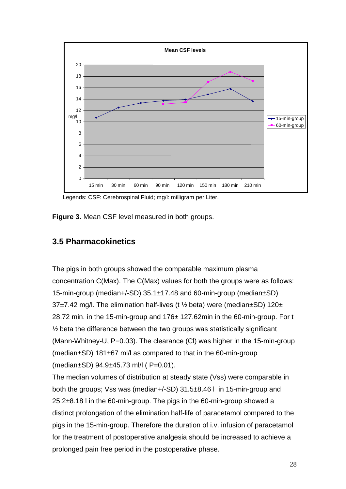

Legends: CSF: Cerebrospinal Fluid; mg/l: milligram per Liter.

**Figure 3.** Mean CSF level measured in both groups.

## **3.5 Pharmacokinetics**

The pigs in both groups showed the comparable maximum plasma concentration C(Max). The C(Max) values for both the groups were as follows: 15-min-group (median+/-SD) 35.1±17.48 and 60-min-group (median±SD) 37 $\pm$ 7.42 mg/l. The elimination half-lives (t  $\frac{1}{2}$  beta) were (median $\pm$ SD) 120 $\pm$ 28.72 min. in the 15-min-group and 176± 127.62min in the 60-min-group. For t  $\frac{1}{2}$  beta the difference between the two groups was statistically significant (Mann-Whitney-U, P=0.03). The clearance (Cl) was higher in the 15-min-group (median±SD) 181±67 ml/l as compared to that in the 60-min-group (median±SD) 94.9±45.73 ml/l ( P=0.01).

The median volumes of distribution at steady state (Vss) were comparable in both the groups; Vss was (median+/-SD) 31.5±8.46 l in 15-min-group and 25.2±8.18 l in the 60-min-group. The pigs in the 60-min-group showed a distinct prolongation of the elimination half-life of paracetamol compared to the pigs in the 15-min-group. Therefore the duration of i.v. infusion of paracetamol for the treatment of postoperative analgesia should be increased to achieve a prolonged pain free period in the postoperative phase.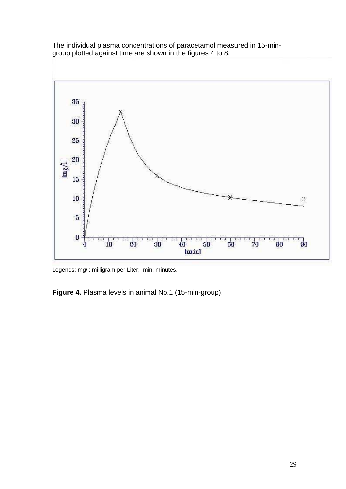The individual plasma concentrations of paracetamol measured in 15-mingroup plotted against time are shown in the figures 4 to 8.



Legends: mg/l: milligram per Liter; min: minutes.

**Figure 4.** Plasma levels in animal No.1 (15-min-group).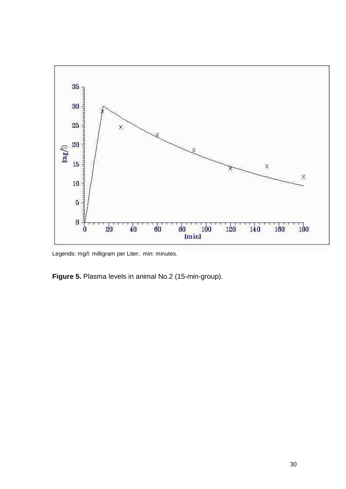

Legends: mg/l: milligram per Liter; min: minutes.

**Figure 5.** Plasma levels in animal No.2 (15-min-group).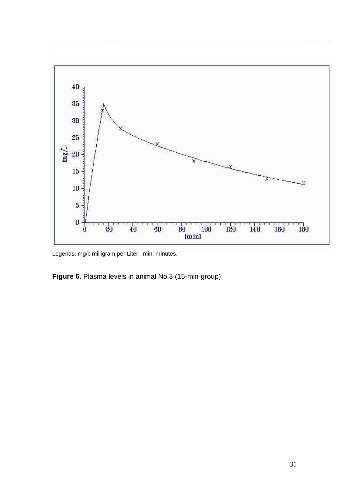

Legends: mg/l: milligram per Liter; min: minutes.

**Figure 6.** Plasma levels in animal No.3 (15-min-group).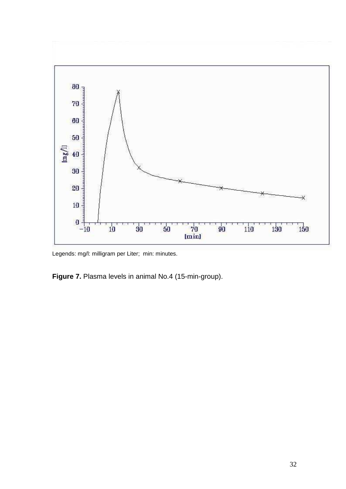

Legends: mg/l: milligram per Liter; min: minutes.

**Figure 7.** Plasma levels in animal No.4 (15-min-group).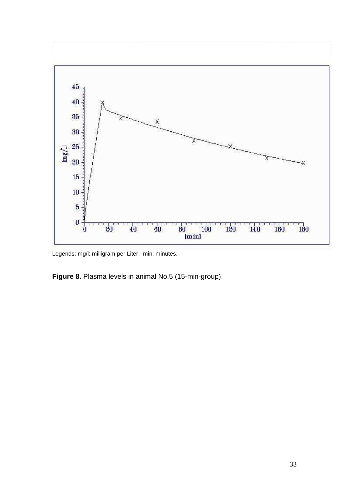

Legends: mg/l: milligram per Liter; min: minutes.

**Figure 8.** Plasma levels in animal No.5 (15-min-group).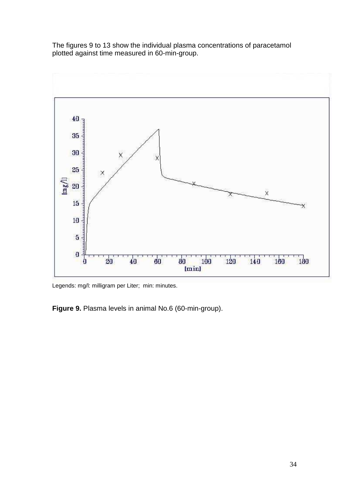The figures 9 to 13 show the individual plasma concentrations of paracetamol plotted against time measured in 60-min-group.



Legends: mg/l: milligram per Liter; min: minutes.

**Figure 9.** Plasma levels in animal No.6 (60-min-group).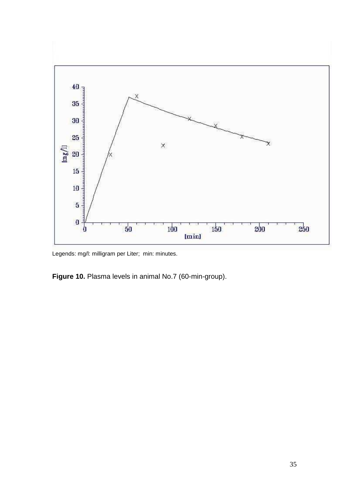

Legends: mg/l: milligram per Liter; min: minutes.

**Figure 10.** Plasma levels in animal No.7 (60-min-group).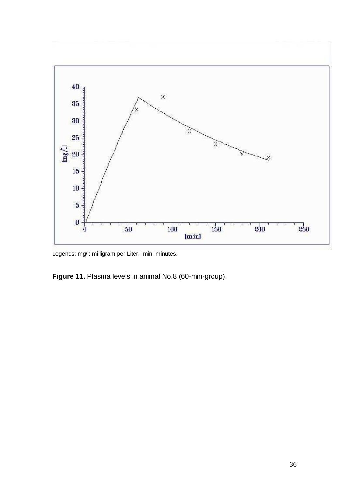

Legends: mg/l: milligram per Liter; min: minutes.

**Figure 11.** Plasma levels in animal No.8 (60-min-group).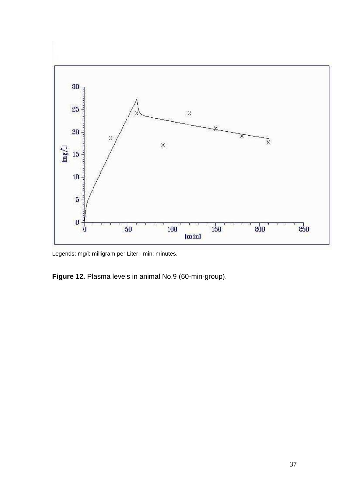

Legends: mg/l: milligram per Liter; min: minutes.

**Figure 12.** Plasma levels in animal No.9 (60-min-group).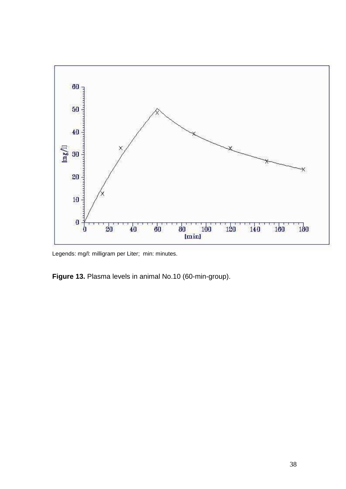

Legends: mg/l: milligram per Liter; min: minutes.

**Figure 13.** Plasma levels in animal No.10 (60-min-group).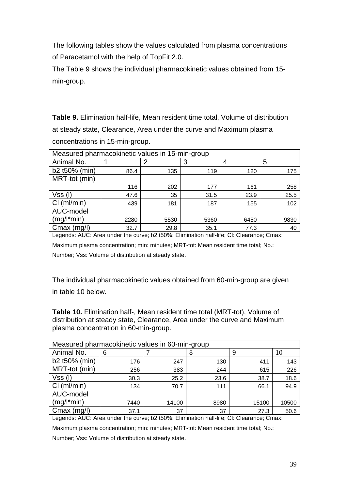The following tables show the values calculated from plasma concentrations of Paracetamol with the help of TopFit 2.0.

The Table 9 shows the individual pharmacokinetic values obtained from 15 min-group.

**Table 9.** Elimination half-life, Mean resident time total, Volume of distribution at steady state, Clearance, Area under the curve and Maximum plasma concentrations in 15-min-group.

| Measured pharmacokinetic values in 15-min-group |      |      |      |      |      |  |  |  |
|-------------------------------------------------|------|------|------|------|------|--|--|--|
| Animal No.                                      |      | Ω    | 3    | 4    | 5    |  |  |  |
| b2 t50% (min)                                   | 86.4 | 135  | 119  | 120  | 175  |  |  |  |
| MRT-tot (min)                                   |      |      |      |      |      |  |  |  |
|                                                 | 116  | 202  | 177  | 161  | 258  |  |  |  |
| $Vss$ (I)                                       | 47.6 | 35   | 31.5 | 23.9 | 25.5 |  |  |  |
| Cl (ml/min)                                     | 439  | 181  | 187  | 155  | 102  |  |  |  |
| AUC-model                                       |      |      |      |      |      |  |  |  |
| $(mg/l*min)$                                    | 2280 | 5530 | 5360 | 6450 | 9830 |  |  |  |
| $Cmax$ (mg/l)                                   | 32.7 | 29.8 | 35.1 | 77.3 | 40   |  |  |  |

Legends: AUC: Area under the curve; b2 t50%: Elimination half-life; Cl: Clearance; Cmax: Maximum plasma concentration; min: minutes; MRT-tot: Mean resident time total; No.: Number; Vss: Volume of distribution at steady state.

The individual pharmacokinetic values obtained from 60-min-group are given in table 10 below.

**Table 10.** Elimination half-, Mean resident time total (MRT-tot), Volume of distribution at steady state, Clearance, Area under the curve and Maximum plasma concentration in 60-min-group.

| Measured pharmacokinetic values in 60-min-group |      |       |      |       |       |  |  |  |
|-------------------------------------------------|------|-------|------|-------|-------|--|--|--|
| Animal No.                                      | 6    |       |      | 9     | 10    |  |  |  |
| b2 t50% (min)                                   | 176  | 247   | 130  | 411   | 143   |  |  |  |
| MRT-tot (min)                                   | 256  | 383   | 244  | 615   | 226   |  |  |  |
| $Vss$ (I)                                       | 30.3 | 25.2  | 23.6 | 38.7  | 18.6  |  |  |  |
| Cl (ml/min)                                     | 134  | 70.7  | 111  | 66.1  | 94.9  |  |  |  |
| AUC-model                                       |      |       |      |       |       |  |  |  |
| $(mg/l*min)$                                    | 7440 | 14100 | 8980 | 15100 | 10500 |  |  |  |
| $Cmax$ (mg/l)                                   | 37.1 | 37    | 37   | 27.3  | 50.6  |  |  |  |

Legends: AUC: Area under the curve; b2 t50%: Elimination half-life; Cl: Clearance; Cmax:

Maximum plasma concentration; min: minutes; MRT-tot: Mean resident time total; No.:

Number; Vss: Volume of distribution at steady state.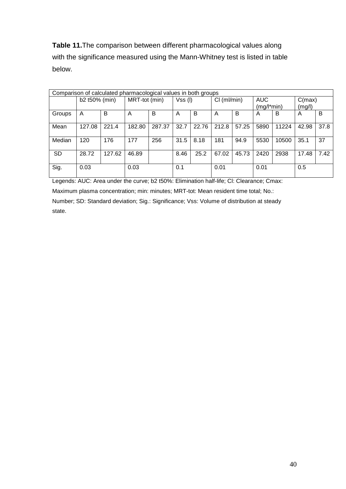**Table 11.**The comparison between different pharmacological values along with the significance measured using the Mann-Whitney test is listed in table below.

| Comparison of calculated pharmacological values in both groups |               |        |               |        |           |       |             |       |              |       |        |      |
|----------------------------------------------------------------|---------------|--------|---------------|--------|-----------|-------|-------------|-------|--------------|-------|--------|------|
|                                                                | b2 t50% (min) |        | MRT-tot (min) |        | $Vss$ (I) |       | Cl (ml/min) |       | <b>AUC</b>   |       | C(max) |      |
|                                                                |               |        |               |        |           |       |             |       | $(mg/l*min)$ |       | (mg/l) |      |
| Groups                                                         | Α             | B      | A             | B      | A         | B     | A           | B     | A            | в     | A      | B    |
| Mean                                                           | 127.08        | 221.4  | 182.80        | 287.37 | 32.7      | 22.76 | 212.8       | 57.25 | 5890         | 11224 | 42.98  | 37.8 |
| Median                                                         | 120           | 176    | 177           | 256    | 31.5      | 8.18  | 181         | 94.9  | 5530         | 10500 | 35.1   | 37   |
| <b>SD</b>                                                      | 28.72         | 127.62 | 46.89         |        | 8.46      | 25.2  | 67.02       | 45.73 | 2420         | 2938  | 17.48  | 7.42 |
| Sig.                                                           | 0.03          |        | 0.03          |        | 0.1       |       | 0.01        |       | 0.01         |       | 0.5    |      |

Legends: AUC: Area under the curve; b2 t50%: Elimination half-life; Cl: Clearance; Cmax:

Maximum plasma concentration; min: minutes; MRT-tot: Mean resident time total; No.:

Number; SD: Standard deviation; Sig.: Significance; Vss: Volume of distribution at steady state.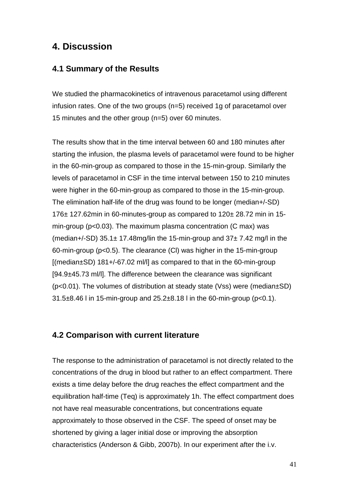## **4. Discussion**

## **4.1 Summary of the Results**

We studied the pharmacokinetics of intravenous paracetamol using different infusion rates. One of the two groups (n=5) received 1g of paracetamol over 15 minutes and the other group (n=5) over 60 minutes.

The results show that in the time interval between 60 and 180 minutes after starting the infusion, the plasma levels of paracetamol were found to be higher in the 60-min-group as compared to those in the 15-min-group. Similarly the levels of paracetamol in CSF in the time interval between 150 to 210 minutes were higher in the 60-min-group as compared to those in the 15-min-group. The elimination half-life of the drug was found to be longer (median+/-SD) 176± 127.62min in 60-minutes-group as compared to 120± 28.72 min in 15 min-group (p<0.03). The maximum plasma concentration (C max) was (median+/-SD)  $35.1 \pm 17.48$ mg/lin the 15-min-group and  $37 \pm 7.42$  mg/l in the 60-min-group (p<0.5). The clearance (Cl) was higher in the 15-min-group [(median±SD) 181+/-67.02 ml/l] as compared to that in the 60-min-group [94.9±45.73 ml/l]. The difference between the clearance was significant (p<0.01). The volumes of distribution at steady state (Vss) were (median±SD) 31.5±8.46 l in 15-min-group and 25.2±8.18 l in the 60-min-group (p<0.1).

### **4.2 Comparison with current literature**

The response to the administration of paracetamol is not directly related to the concentrations of the drug in blood but rather to an effect compartment. There exists a time delay before the drug reaches the effect compartment and the equilibration half-time (Teq) is approximately 1h. The effect compartment does not have real measurable concentrations, but concentrations equate approximately to those observed in the CSF. The speed of onset may be shortened by giving a lager initial dose or improving the absorption characteristics (Anderson & Gibb, 2007b). In our experiment after the i.v.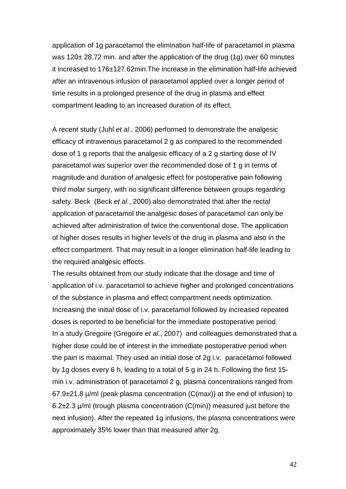application of 1g paracetamol the elimination half-life of paracetamol in plasma was 120± 28.72 min. and after the application of the drug (1g) over 60 minutes it increased to 176±127.62min.The increase in the elimination half-life achieved after an intravenous infusion of paracetamol applied over a longer period of time results in a prolonged presence of the drug in plasma and effect compartment leading to an increased duration of its effect.

A recent study (Juhl et al., 2006) performed to demonstrate the analgesic efficacy of intravenous paracetamol 2 g as compared to the recommended dose of 1 g reports that the analgesic efficacy of a 2 g starting dose of IV paracetamol was superior over the recommended dose of 1 g in terms of magnitude and duration of analgesic effect for postoperative pain following third molar surgery, with no significant difference between groups regarding safety. Beck (Beck et al., 2000) also demonstrated that after the rectal application of paracetamol the analgesic doses of paracetamol can only be achieved after administration of twice the conventional dose. The application of higher doses results in higher levels of the drug in plasma and also in the effect compartment. That may result in a longer elimination half-life leading to the required analgesic effects.

The results obtained from our study indicate that the dosage and time of application of i.v. paracetamol to achieve higher and prolonged concentrations of the substance in plasma and effect compartment needs optimization. Increasing the initial dose of i.v. paracetamol followed by increased repeated doses is reported to be beneficial for the immediate postoperative period. In a study Gregoire (Gregoire et al., 2007) and colleagues demonstrated that a higher dose could be of interest in the immediate postoperative period when the pain is maximal. They used an initial dose of 2g i.v. paracetamol followed by 1g doses every 6 h, leading to a total of 5 g in 24 h. Following the first 15 min i.v. administration of paracetamol 2 g, plasma concentrations ranged from  $67.9\pm21.8$  µ/ml (peak plasma concentration (C(max)) at the end of infusion) to 6.2±2.3 µ/ml (trough plasma concentration (C(min)) measured just before the next infusion). After the repeated 1g infusions, the plasma concentrations were approximately 35% lower than that measured after 2g,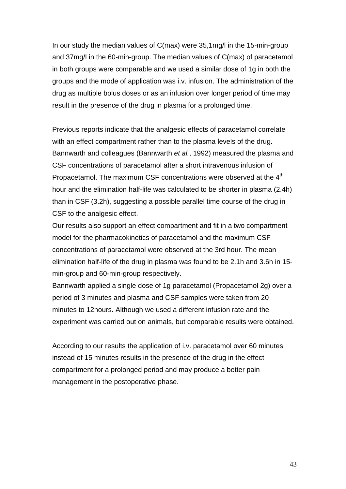In our study the median values of C(max) were 35,1mg/l in the 15-min-group and 37mg/l in the 60-min-group. The median values of C(max) of paracetamol in both groups were comparable and we used a similar dose of 1g in both the groups and the mode of application was i.v. infusion. The administration of the drug as multiple bolus doses or as an infusion over longer period of time may result in the presence of the drug in plasma for a prolonged time.

Previous reports indicate that the analgesic effects of paracetamol correlate with an effect compartment rather than to the plasma levels of the drug. Bannwarth and colleagues (Bannwarth et al., 1992) measured the plasma and CSF concentrations of paracetamol after a short intravenous infusion of Propacetamol. The maximum CSF concentrations were observed at the 4<sup>th</sup> hour and the elimination half-life was calculated to be shorter in plasma (2.4h) than in CSF (3.2h), suggesting a possible parallel time course of the drug in CSF to the analgesic effect.

Our results also support an effect compartment and fit in a two compartment model for the pharmacokinetics of paracetamol and the maximum CSF concentrations of paracetamol were observed at the 3rd hour. The mean elimination half-life of the drug in plasma was found to be 2.1h and 3.6h in 15 min-group and 60-min-group respectively.

Bannwarth applied a single dose of 1g paracetamol (Propacetamol 2g) over a period of 3 minutes and plasma and CSF samples were taken from 20 minutes to 12hours. Although we used a different infusion rate and the experiment was carried out on animals, but comparable results were obtained.

According to our results the application of i.v. paracetamol over 60 minutes instead of 15 minutes results in the presence of the drug in the effect compartment for a prolonged period and may produce a better pain management in the postoperative phase.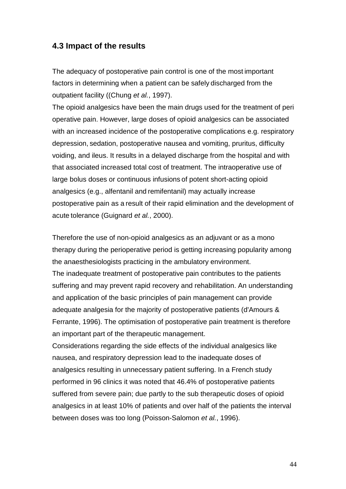#### **4.3 Impact of the results**

The adequacy of postoperative pain control is one of the most important factors in determining when a patient can be safely discharged from the outpatient facility ((Chung et al., 1997).

The opioid analgesics have been the main drugs used for the treatment of peri operative pain. However, large doses of opioid analgesics can be associated with an increased incidence of the postoperative complications e.g. respiratory depression, sedation, postoperative nausea and vomiting, pruritus, difficulty voiding, and ileus. It results in a delayed discharge from the hospital and with that associated increased total cost of treatment. The intraoperative use of large bolus doses or continuous infusions of potent short-acting opioid analgesics (e.g., alfentanil and remifentanil) may actually increase postoperative pain as a result of their rapid elimination and the development of acute tolerance (Guignard et al., 2000).

Therefore the use of non-opioid analgesics as an adjuvant or as a mono therapy during the perioperative period is getting increasing popularity among the anaesthesiologists practicing in the ambulatory environment. The inadequate treatment of postoperative pain contributes to the patients suffering and may prevent rapid recovery and rehabilitation. An understanding and application of the basic principles of pain management can provide adequate analgesia for the majority of postoperative patients (d'Amours & Ferrante, 1996). The optimisation of postoperative pain treatment is therefore an important part of the therapeutic management.

Considerations regarding the side effects of the individual analgesics like nausea, and respiratory depression lead to the inadequate doses of analgesics resulting in unnecessary patient suffering. In a French study performed in 96 clinics it was noted that 46.4% of postoperative patients suffered from severe pain; due partly to the sub therapeutic doses of opioid analgesics in at least 10% of patients and over half of the patients the interval between doses was too long (Poisson-Salomon et al., 1996).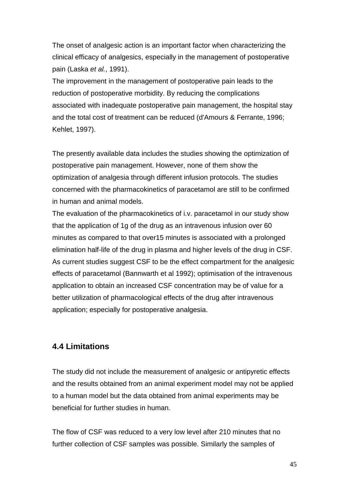The onset of analgesic action is an important factor when characterizing the clinical efficacy of analgesics, especially in the management of postoperative pain (Laska et al., 1991).

The improvement in the management of postoperative pain leads to the reduction of postoperative morbidity. By reducing the complications associated with inadequate postoperative pain management, the hospital stay and the total cost of treatment can be reduced (d'Amours & Ferrante, 1996; Kehlet, 1997).

The presently available data includes the studies showing the optimization of postoperative pain management. However, none of them show the optimization of analgesia through different infusion protocols. The studies concerned with the pharmacokinetics of paracetamol are still to be confirmed in human and animal models.

The evaluation of the pharmacokinetics of i.v. paracetamol in our study show that the application of 1g of the drug as an intravenous infusion over 60 minutes as compared to that over15 minutes is associated with a prolonged elimination half-life of the drug in plasma and higher levels of the drug in CSF. As current studies suggest CSF to be the effect compartment for the analgesic effects of paracetamol (Bannwarth et al 1992); optimisation of the intravenous application to obtain an increased CSF concentration may be of value for a better utilization of pharmacological effects of the drug after intravenous application; especially for postoperative analgesia.

## **4.4 Limitations**

The study did not include the measurement of analgesic or antipyretic effects and the results obtained from an animal experiment model may not be applied to a human model but the data obtained from animal experiments may be beneficial for further studies in human.

The flow of CSF was reduced to a very low level after 210 minutes that no further collection of CSF samples was possible. Similarly the samples of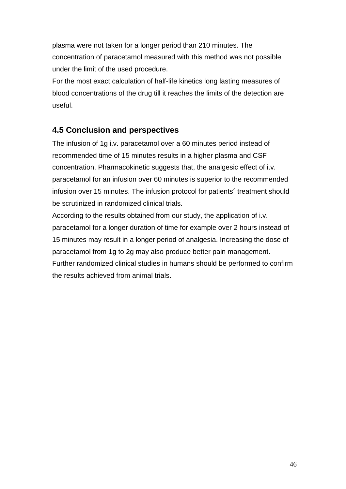plasma were not taken for a longer period than 210 minutes. The concentration of paracetamol measured with this method was not possible under the limit of the used procedure.

For the most exact calculation of half-life kinetics long lasting measures of blood concentrations of the drug till it reaches the limits of the detection are useful.

## **4.5 Conclusion and perspectives**

The infusion of 1g i.v. paracetamol over a 60 minutes period instead of recommended time of 15 minutes results in a higher plasma and CSF concentration. Pharmacokinetic suggests that, the analgesic effect of i.v. paracetamol for an infusion over 60 minutes is superior to the recommended infusion over 15 minutes. The infusion protocol for patients´ treatment should be scrutinized in randomized clinical trials.

According to the results obtained from our study, the application of i.v. paracetamol for a longer duration of time for example over 2 hours instead of 15 minutes may result in a longer period of analgesia. Increasing the dose of paracetamol from 1g to 2g may also produce better pain management. Further randomized clinical studies in humans should be performed to confirm the results achieved from animal trials.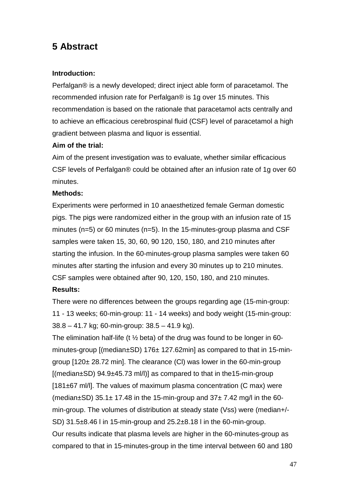# **5 Abstract**

#### **Introduction:**

Perfalgan® is a newly developed; direct inject able form of paracetamol. The recommended infusion rate for Perfalgan® is 1g over 15 minutes. This recommendation is based on the rationale that paracetamol acts centrally and to achieve an efficacious cerebrospinal fluid (CSF) level of paracetamol a high gradient between plasma and liquor is essential.

#### **Aim of the trial:**

Aim of the present investigation was to evaluate, whether similar efficacious CSF levels of Perfalgan® could be obtained after an infusion rate of 1g over 60 minutes.

#### **Methods:**

Experiments were performed in 10 anaesthetized female German domestic pigs. The pigs were randomized either in the group with an infusion rate of 15 minutes (n=5) or 60 minutes (n=5). In the 15-minutes-group plasma and CSF samples were taken 15, 30, 60, 90 120, 150, 180, and 210 minutes after starting the infusion. In the 60-minutes-group plasma samples were taken 60 minutes after starting the infusion and every 30 minutes up to 210 minutes. CSF samples were obtained after 90, 120, 150, 180, and 210 minutes.

### **Results:**

There were no differences between the groups regarding age (15-min-group: 11 - 13 weeks; 60-min-group: 11 - 14 weeks) and body weight (15-min-group: 38.8 – 41.7 kg; 60-min-group: 38.5 – 41.9 kg).

The elimination half-life (t ½ beta) of the drug was found to be longer in 60 minutes-group [(median±SD) 176± 127.62min] as compared to that in 15-mingroup [120± 28.72 min]. The clearance (Cl) was lower in the 60-min-group  $[(median\pm SD) 94.9\pm 45.73$  m $]/]$  as compared to that in the 15-min-group [181±67 ml/l]. The values of maximum plasma concentration (C max) were (median $\pm$ SD) 35.1 $\pm$  17.48 in the 15-min-group and 37 $\pm$  7.42 mg/l in the 60min-group. The volumes of distribution at steady state (Vss) were (median+/- SD) 31.5±8.46 l in 15-min-group and 25.2±8.18 l in the 60-min-group. Our results indicate that plasma levels are higher in the 60-minutes-group as compared to that in 15-minutes-group in the time interval between 60 and 180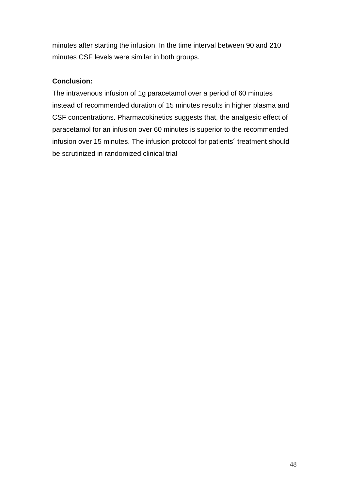minutes after starting the infusion. In the time interval between 90 and 210 minutes CSF levels were similar in both groups.

#### **Conclusion:**

The intravenous infusion of 1g paracetamol over a period of 60 minutes instead of recommended duration of 15 minutes results in higher plasma and CSF concentrations. Pharmacokinetics suggests that, the analgesic effect of paracetamol for an infusion over 60 minutes is superior to the recommended infusion over 15 minutes. The infusion protocol for patients´ treatment should be scrutinized in randomized clinical trial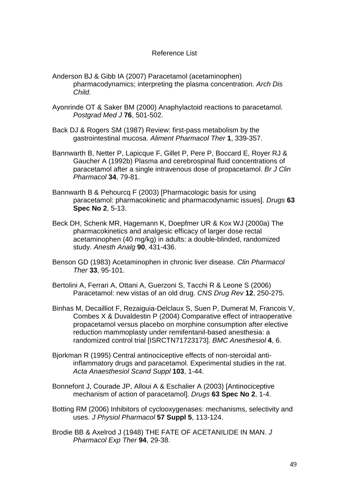#### Reference List

- Anderson BJ & Gibb IA (2007) Paracetamol (acetaminophen) pharmacodynamics; interpreting the plasma concentration. Arch Dis Child.
- Ayonrinde OT & Saker BM (2000) Anaphylactoid reactions to paracetamol. Postgrad Med J **76**, 501-502.
- Back DJ & Rogers SM (1987) Review: first-pass metabolism by the gastrointestinal mucosa. Aliment Pharmacol Ther **1**, 339-357.
- Bannwarth B, Netter P, Lapicque F, Gillet P, Pere P, Boccard E, Royer RJ & Gaucher A (1992b) Plasma and cerebrospinal fluid concentrations of paracetamol after a single intravenous dose of propacetamol. Br J Clin Pharmacol **34**, 79-81.
- Bannwarth B & Pehourcq F (2003) [Pharmacologic basis for using paracetamol: pharmacokinetic and pharmacodynamic issues]. Drugs **63 Spec No 2**, 5-13.
- Beck DH, Schenk MR, Hagemann K, Doepfmer UR & Kox WJ (2000a) The pharmacokinetics and analgesic efficacy of larger dose rectal acetaminophen (40 mg/kg) in adults: a double-blinded, randomized study. Anesth Analg **90**, 431-436.
- Benson GD (1983) Acetaminophen in chronic liver disease. Clin Pharmacol Ther **33**, 95-101.
- Bertolini A, Ferrari A, Ottani A, Guerzoni S, Tacchi R & Leone S (2006) Paracetamol: new vistas of an old drug. CNS Drug Rev **12**, 250-275.
- Binhas M, Decailliot F, Rezaiguia-Delclaux S, Suen P, Dumerat M, Francois V, Combes X & Duvaldestin P (2004) Comparative effect of intraoperative propacetamol versus placebo on morphine consumption after elective reduction mammoplasty under remifentanil-based anesthesia: a randomized control trial [ISRCTN71723173]. BMC Anesthesiol **4**, 6.
- Bjorkman R (1995) Central antinociceptive effects of non-steroidal antiinflammatory drugs and paracetamol. Experimental studies in the rat. Acta Anaesthesiol Scand Suppl **103**, 1-44.
- Bonnefont J, Courade JP, Alloui A & Eschalier A (2003) [Antinociceptive mechanism of action of paracetamol]. Drugs **63 Spec No 2**, 1-4.
- Botting RM (2006) Inhibitors of cyclooxygenases: mechanisms, selectivity and uses. J Physiol Pharmacol **57 Suppl 5**, 113-124.
- Brodie BB & Axelrod J (1948) THE FATE OF ACETANILIDE IN MAN. J Pharmacol Exp Ther **94**, 29-38.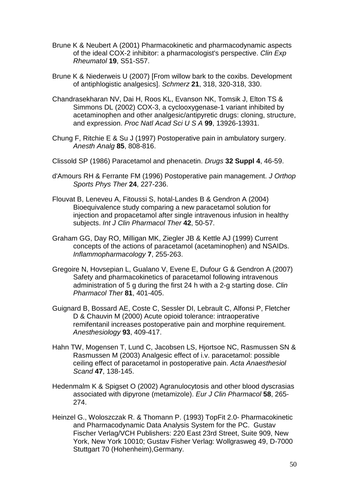- Brune K & Neubert A (2001) Pharmacokinetic and pharmacodynamic aspects of the ideal COX-2 inhibitor: a pharmacologist's perspective. Clin Exp Rheumatol **19**, S51-S57.
- Brune K & Niederweis U (2007) [From willow bark to the coxibs. Development of antiphlogistic analgesics]. Schmerz **21**, 318, 320-318, 330.
- Chandrasekharan NV, Dai H, Roos KL, Evanson NK, Tomsik J, Elton TS & Simmons DL (2002) COX-3, a cyclooxygenase-1 variant inhibited by acetaminophen and other analgesic/antipyretic drugs: cloning, structure, and expression. Proc Natl Acad Sci U S A **99**, 13926-13931.
- Chung F, Ritchie E & Su J (1997) Postoperative pain in ambulatory surgery. Anesth Analg **85**, 808-816.
- Clissold SP (1986) Paracetamol and phenacetin. Drugs **32 Suppl 4**, 46-59.
- d'Amours RH & Ferrante FM (1996) Postoperative pain management. J Orthop Sports Phys Ther **24**, 227-236.
- Flouvat B, Leneveu A, Fitoussi S, hotal-Landes B & Gendron A (2004) Bioequivalence study comparing a new paracetamol solution for injection and propacetamol after single intravenous infusion in healthy subjects. Int J Clin Pharmacol Ther **42**, 50-57.
- Graham GG, Day RO, Milligan MK, Ziegler JB & Kettle AJ (1999) Current concepts of the actions of paracetamol (acetaminophen) and NSAIDs. Inflammopharmacology **7**, 255-263.
- Gregoire N, Hovsepian L, Gualano V, Evene E, Dufour G & Gendron A (2007) Safety and pharmacokinetics of paracetamol following intravenous administration of 5 g during the first 24 h with a 2-g starting dose. Clin Pharmacol Ther **81**, 401-405.
- Guignard B, Bossard AE, Coste C, Sessler DI, Lebrault C, Alfonsi P, Fletcher D & Chauvin M (2000) Acute opioid tolerance: intraoperative remifentanil increases postoperative pain and morphine requirement. Anesthesiology **93**, 409-417.
- Hahn TW, Mogensen T, Lund C, Jacobsen LS, Hjortsoe NC, Rasmussen SN & Rasmussen M (2003) Analgesic effect of i.v. paracetamol: possible ceiling effect of paracetamol in postoperative pain. Acta Anaesthesiol Scand **47**, 138-145.
- Hedenmalm K & Spigset O (2002) Agranulocytosis and other blood dyscrasias associated with dipyrone (metamizole). Eur J Clin Pharmacol **58**, 265- 274.
- Heinzel G., Woloszczak R. & Thomann P. (1993) TopFit 2.0- Pharmacokinetic and Pharmacodynamic Data Analysis System for the PC. Gustav Fischer Verlag/VCH Publishers: 220 East 23rd Street, Suite 909, New York, New York 10010; Gustav Fisher Verlag: Wollgrasweg 49, D-7000 Stuttgart 70 (Hohenheim), Germany.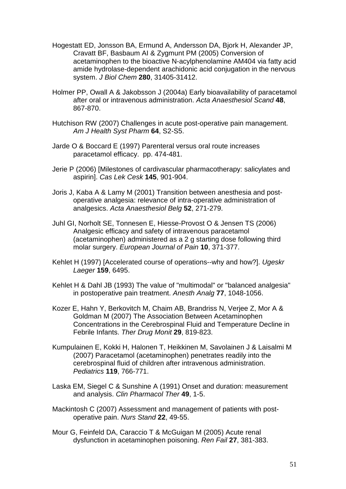- Hogestatt ED, Jonsson BA, Ermund A, Andersson DA, Bjork H, Alexander JP, Cravatt BF, Basbaum AI & Zygmunt PM (2005) Conversion of acetaminophen to the bioactive N-acylphenolamine AM404 via fatty acid amide hydrolase-dependent arachidonic acid conjugation in the nervous system. J Biol Chem **280**, 31405-31412.
- Holmer PP, Owall A & Jakobsson J (2004a) Early bioavailability of paracetamol after oral or intravenous administration. Acta Anaesthesiol Scand **48**, 867-870.
- Hutchison RW (2007) Challenges in acute post-operative pain management. Am J Health Syst Pharm **64**, S2-S5.
- Jarde O & Boccard E (1997) Parenteral versus oral route increases paracetamol efficacy. pp. 474-481.
- Jerie P (2006) [Milestones of cardivascular pharmacotherapy: salicylates and aspirin]. Cas Lek Cesk **145**, 901-904.
- Joris J, Kaba A & Lamy M (2001) Transition between anesthesia and postoperative analgesia: relevance of intra-operative administration of analgesics. Acta Anaesthesiol Belg **52**, 271-279.
- Juhl GI, Norholt SE, Tonnesen E, Hiesse-Provost O & Jensen TS (2006) Analgesic efficacy and safety of intravenous paracetamol (acetaminophen) administered as a 2 g starting dose following third molar surgery. European Journal of Pain **10**, 371-377.
- Kehlet H (1997) [Accelerated course of operations--why and how?]. Ugeskr Laeger **159**, 6495.
- Kehlet H & Dahl JB (1993) The value of "multimodal" or "balanced analgesia" in postoperative pain treatment. Anesth Analg **77**, 1048-1056.
- Kozer E, Hahn Y, Berkovitch M, Chaim AB, Brandriss N, Verjee Z, Mor A & Goldman M (2007) The Association Between Acetaminophen Concentrations in the Cerebrospinal Fluid and Temperature Decline in Febrile Infants. Ther Drug Monit **29**, 819-823.
- Kumpulainen E, Kokki H, Halonen T, Heikkinen M, Savolainen J & Laisalmi M (2007) Paracetamol (acetaminophen) penetrates readily into the cerebrospinal fluid of children after intravenous administration. Pediatrics **119**, 766-771.
- Laska EM, Siegel C & Sunshine A (1991) Onset and duration: measurement and analysis. Clin Pharmacol Ther **49**, 1-5.
- Mackintosh C (2007) Assessment and management of patients with postoperative pain. Nurs Stand **22**, 49-55.
- Mour G, Feinfeld DA, Caraccio T & McGuigan M (2005) Acute renal dysfunction in acetaminophen poisoning. Ren Fail **27**, 381-383.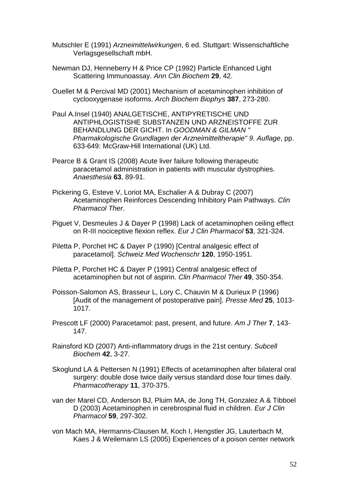- Mutschler E (1991) Arzneimittelwirkungen, 6 ed. Stuttgart: Wissenschaftliche Verlagsgesellschaft mbH.
- Newman DJ, Henneberry H & Price CP (1992) Particle Enhanced Light Scattering Immunoassay. Ann Clin Biochem **29**, 42.
- Ouellet M & Percival MD (2001) Mechanism of acetaminophen inhibition of cyclooxygenase isoforms. Arch Biochem Biophys **387**, 273-280.
- Paul A.Insel (1940) ANALGETISCHE, ANTIPYRETISCHE UND ANTIPHLOGISTISHE SUBSTANZEN UND ARZNEISTOFFE ZUR BEHANDLUNG DER GICHT. In GOODMAN & GILMAN " Pharmakologische Grundlagen der Arzneimitteltherapie" 9. Auflage, pp. 633-649: McGraw-Hill International (UK) Ltd.
- Pearce B & Grant IS (2008) Acute liver failure following therapeutic paracetamol administration in patients with muscular dystrophies. Anaesthesia **63**, 89-91.
- Pickering G, Esteve V, Loriot MA, Eschalier A & Dubray C (2007) Acetaminophen Reinforces Descending Inhibitory Pain Pathways. Clin Pharmacol Ther.
- Piguet V, Desmeules J & Dayer P (1998) Lack of acetaminophen ceiling effect on R-III nociceptive flexion reflex. Eur J Clin Pharmacol **53**, 321-324.
- Piletta P, Porchet HC & Dayer P (1990) [Central analgesic effect of paracetamol]. Schweiz Med Wochenschr **120**, 1950-1951.
- Piletta P, Porchet HC & Dayer P (1991) Central analgesic effect of acetaminophen but not of aspirin. Clin Pharmacol Ther **49**, 350-354.
- Poisson-Salomon AS, Brasseur L, Lory C, Chauvin M & Durieux P (1996) [Audit of the management of postoperative pain]. Presse Med **25**, 1013- 1017.
- Prescott LF (2000) Paracetamol: past, present, and future. Am J Ther **7**, 143- 147.
- Rainsford KD (2007) Anti-inflammatory drugs in the 21st century. Subcell Biochem **42**, 3-27.
- Skoglund LA & Pettersen N (1991) Effects of acetaminophen after bilateral oral surgery: double dose twice daily versus standard dose four times daily. Pharmacotherapy **11**, 370-375.
- van der Marel CD, Anderson BJ, Pluim MA, de Jong TH, Gonzalez A & Tibboel D (2003) Acetaminophen in cerebrospinal fluid in children. Eur J Clin Pharmacol **59**, 297-302.
- von Mach MA, Hermanns-Clausen M, Koch I, Hengstler JG, Lauterbach M, Kaes J & Weilemann LS (2005) Experiences of a poison center network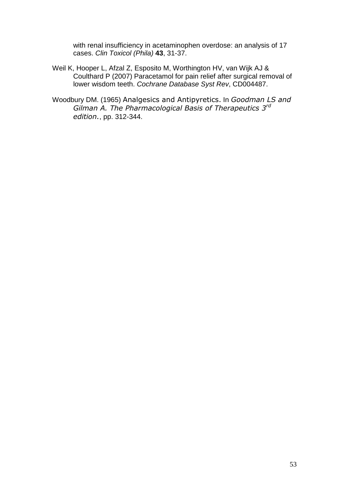with renal insufficiency in acetaminophen overdose: an analysis of 17 cases. Clin Toxicol (Phila) **43**, 31-37.

- Weil K, Hooper L, Afzal Z, Esposito M, Worthington HV, van Wijk AJ & Coulthard P (2007) Paracetamol for pain relief after surgical removal of lower wisdom teeth. Cochrane Database Syst Rev, CD004487.
- Woodbury DM. (1965) Analgesics and Antipyretics. In *Goodman LS and Gilman A. The Pharmacological Basis of Therapeutics 3rd edition.*, pp. 312-344.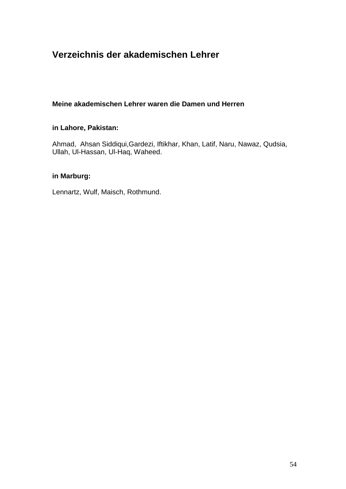# **Verzeichnis der akademischen Lehrer**

#### **Meine akademischen Lehrer waren die Damen und Herren**

#### **in Lahore, Pakistan:**

Ahmad, Ahsan Siddiqui,Gardezi, Iftikhar, Khan, Latif, Naru, Nawaz, Qudsia, Ullah, Ul-Hassan, Ul-Haq, Waheed.

#### **in Marburg:**

Lennartz, Wulf, Maisch, Rothmund.